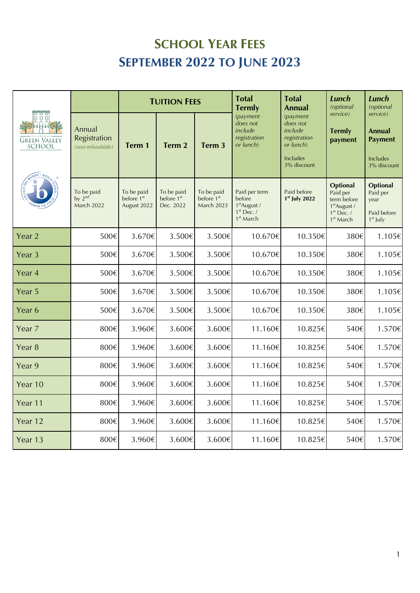## **SCHOOL YEAR FEES SEPTEMBER 2022 TO JUNE 2023**

| o o o<br>同日日馨<br><b>GREEN VALLEY</b><br>SCHOOL<br>$W^{100} \cdot W_0$ |                                            | <b>TUITION FEES</b>                                 |                                                   |                                                           | <b>Total</b><br><b>Termly</b>                                                                | <b>Total</b><br>Annual                                                                  | <b>Lunch</b><br>(optional                                                                                       | <b>Lunch</b><br>(optional                                        |
|-----------------------------------------------------------------------|--------------------------------------------|-----------------------------------------------------|---------------------------------------------------|-----------------------------------------------------------|----------------------------------------------------------------------------------------------|-----------------------------------------------------------------------------------------|-----------------------------------------------------------------------------------------------------------------|------------------------------------------------------------------|
|                                                                       | Annual<br>Registration<br>(non-refundable) | Term 1                                              | Term 2                                            | Term 3                                                    | (payment<br>does not<br>include<br>registration<br>or lunch)                                 | (payment<br>does not<br>include<br>registration<br>or lunch)<br>Includes<br>3% discount | service)<br><b>Termly</b><br>payment                                                                            | service)<br>Annual<br><b>Payment</b><br>Includes<br>3% discount  |
|                                                                       | To be paid<br>by $2nd$<br>March 2022       | To be paid<br>before 1 <sup>st</sup><br>August 2022 | To be paid<br>before 1 <sup>st</sup><br>Dec. 2022 | To be paid<br>before 1 <sup>st</sup><br><b>March 2023</b> | Paid per term<br>before<br>1 <sup>st</sup> August /<br>$1st$ Dec. /<br>1 <sup>st</sup> March | Paid before<br>$1st$ July 2022                                                          | <b>Optional</b><br>Paid per<br>term before<br>1 <sup>st</sup> August /<br>$1st$ Dec. /<br>1 <sup>st</sup> March | <b>Optional</b><br>Paid per<br>year<br>Paid before<br>$1st$ July |
| Year 2                                                                | 500€                                       | 3.670€                                              | 3.500€                                            | 3.500€                                                    | 10.670€                                                                                      | 10.350€                                                                                 | 380€                                                                                                            | 1.105€                                                           |
| Year 3                                                                | 500€                                       | 3.670€                                              | 3.500€                                            | 3.500€                                                    | 10.670€                                                                                      | 10.350€                                                                                 | 380€                                                                                                            | 1.105€                                                           |
| Year <sub>4</sub>                                                     | 500€                                       | 3.670€                                              | 3.500€                                            | 3.500€                                                    | 10.670€                                                                                      | 10.350€                                                                                 | 380€                                                                                                            | 1.105€                                                           |
| Year 5                                                                | 500€                                       | 3.670€                                              | 3.500€                                            | 3.500€                                                    | 10.670€                                                                                      | 10.350€                                                                                 | 380€                                                                                                            | 1.105€                                                           |
| Year 6                                                                | 500€                                       | 3.670€                                              | 3.500€                                            | 3.500€                                                    | 10.670€                                                                                      | 10.350€                                                                                 | 380€                                                                                                            | 1.105€                                                           |
| Year 7                                                                | 800€                                       | 3.960€                                              | 3.600€                                            | 3.600€                                                    | 11.160€                                                                                      | 10.825€                                                                                 | 540€                                                                                                            | 1.570€                                                           |
| Year 8                                                                | 800€                                       | 3.960€                                              | 3.600€                                            | 3.600€                                                    | 11.160€                                                                                      | 10.825€                                                                                 | 540€                                                                                                            | 1.570€                                                           |
| Year 9                                                                | 800€                                       | 3.960€                                              | 3.600€                                            | 3.600€                                                    | 11.160€                                                                                      | 10.825€                                                                                 | 540€                                                                                                            | 1.570€                                                           |
| Year 10                                                               | 800€                                       | 3.960€                                              | 3.600€                                            | 3.600€                                                    | 11.160€                                                                                      | 10.825€                                                                                 | 540€                                                                                                            | 1.570€                                                           |
| Year 11                                                               | 800€                                       | 3.960€                                              | 3.600€                                            | 3.600€                                                    | 11.160€                                                                                      | 10.825€                                                                                 | 540€                                                                                                            | 1.570€                                                           |
| Year 12                                                               | 800€                                       | 3.960€                                              | 3.600€                                            | 3.600€                                                    | 11.160€                                                                                      | 10.825€                                                                                 | 540€                                                                                                            | 1.570€                                                           |
| Year 13                                                               | 800€                                       | 3.960€                                              | 3.600€                                            | 3.600€                                                    | 11.160€                                                                                      | 10.825€                                                                                 | 540€                                                                                                            | 1.570€                                                           |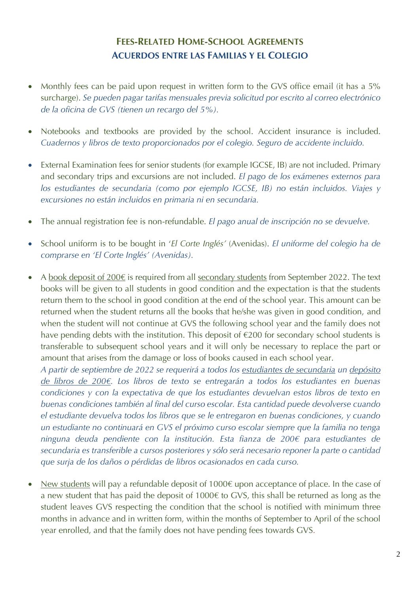## **FEES-RELATED HOME-SCHOOL AGREEMENTS ACUERDOS ENTRE LAS FAMILIAS Y EL COLEGIO**

- Monthly fees can be paid upon request in written form to the GVS office email (it has a 5% surcharge). *Se pueden pagar tarifas mensuales previa solicitud por escrito al correo electrónico de la oficina de GVS (tienen un recargo del 5%).*
- Notebooks and textbooks are provided by the school. Accident insurance is included. *Cuadernos y libros de texto proporcionados por el colegio. Seguro de accidente incluido.*
- External Examination fees for senior students (for example IGCSE, IB) are not included. Primary and secondary trips and excursions are not included. *El pago de los exámenes externos para los estudiantes de secundaria (como por ejemplo IGCSE, IB) no están incluidos. Viajes y excursiones no están incluidos en primaria ni en secundaria.*
- The annual registration fee is non-refundable. *El pago anual de inscripción no se devuelve.*
- School uniform is to be bought in '*El Corte Inglés'* (Avenidas). *El uniforme del colegio ha de comprarse en 'El Corte Inglés' (Avenidas).*
- A book deposit of 200€ is required from all secondary students from September 2022. The text books will be given to all students in good condition and the expectation is that the students return them to the school in good condition at the end of the school year. This amount can be returned when the student returns all the books that he/she was given in good condition, and when the student will not continue at GVS the following school year and the family does not have pending debts with the institution. This deposit of €200 for secondary school students is transferable to subsequent school years and it will only be necessary to replace the part or amount that arises from the damage or loss of books caused in each school year.

*A partir de septiembre de 2022 se requerirá a todos los estudiantes de secundaria un depósito de libros de 200€. Los libros de texto se entregarán a todos los estudiantes en buenas condiciones y con la expectativa de que los estudiantes devuelvan estos libros de texto en buenas condiciones también al final del curso escolar. Esta cantidad puede devolverse cuando el estudiante devuelva todos los libros que se le entregaron en buenas condiciones, y cuando un estudiante no continuará en GVS el próximo curso escolar siempre que la familia no tenga ninguna deuda pendiente con la institución. Esta fianza de 200€ para estudiantes de secundaria es transferible a cursos posteriores y sólo será necesario reponer la parte o cantidad que surja de los daños o pérdidas de libros ocasionados en cada curso.* 

New students will pay a refundable deposit of 1000€ upon acceptance of place. In the case of a new student that has paid the deposit of 1000€ to GVS, this shall be returned as long as the student leaves GVS respecting the condition that the school is notified with minimum three months in advance and in written form, within the months of September to April of the school year enrolled, and that the family does not have pending fees towards GVS.